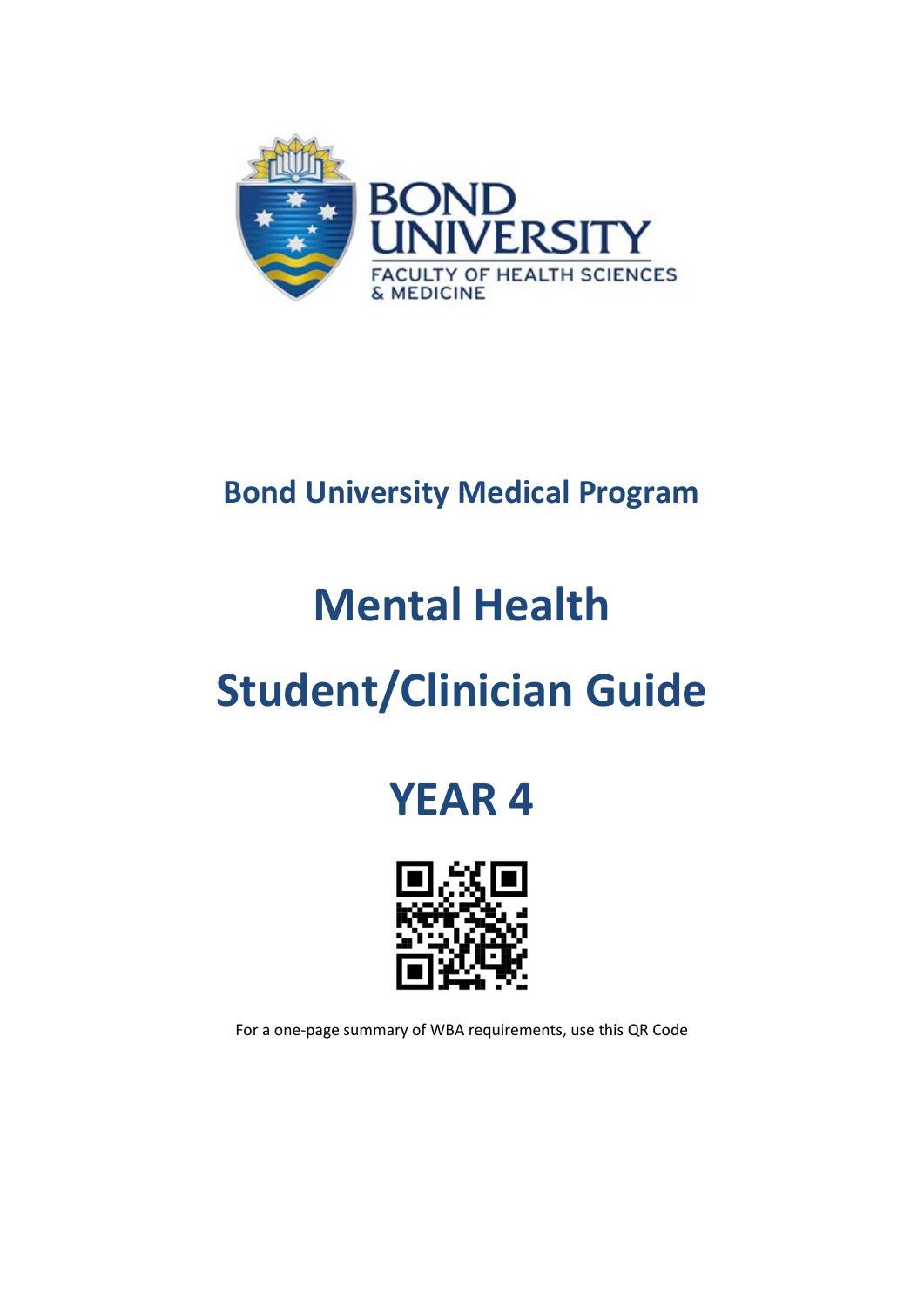

## **Bond University Medical Program**

# **Mental Health**

# **Student/Clinician Guide**

## **YEAR 4**



For a one-page summary of WBA requirements, use this QR Code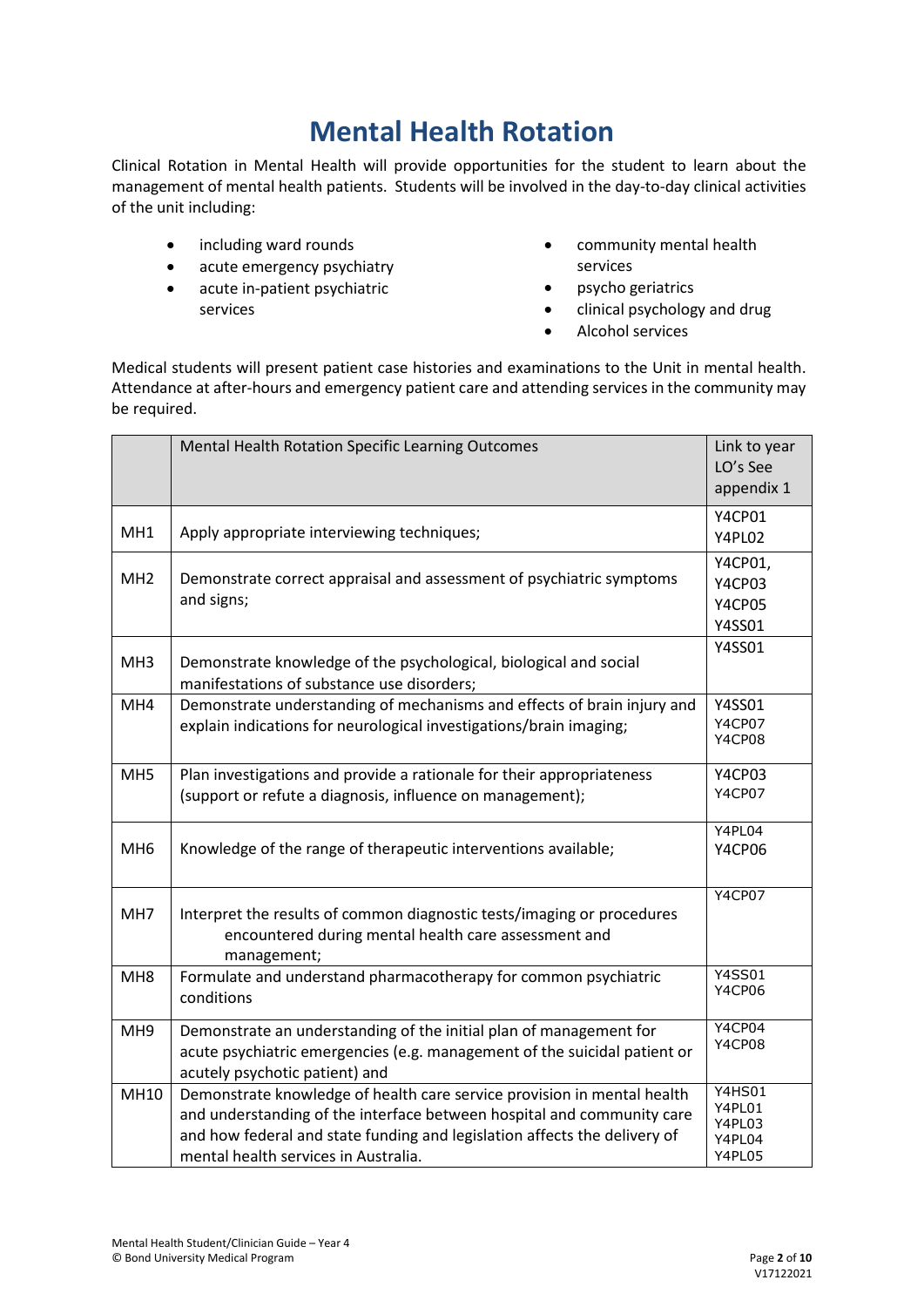## **Mental Health Rotation**

Clinical Rotation in Mental Health will provide opportunities for the student to learn about the management of mental health patients. Students will be involved in the day-to-day clinical activities of the unit including:

- including ward rounds
- acute emergency psychiatry
- acute in-patient psychiatric services
- community mental health services
- psycho geriatrics
- clinical psychology and drug
- Alcohol services

Medical students will present patient case histories and examinations to the Unit in mental health. Attendance at after-hours and emergency patient care and attending services in the community may be required.

|                 | Mental Health Rotation Specific Learning Outcomes                                                                                                                                                                                                                      | Link to year<br>LO's See<br>appendix 1                |
|-----------------|------------------------------------------------------------------------------------------------------------------------------------------------------------------------------------------------------------------------------------------------------------------------|-------------------------------------------------------|
| MH <sub>1</sub> | Apply appropriate interviewing techniques;                                                                                                                                                                                                                             | <b>Y4CP01</b><br>Y4PL02                               |
| MH <sub>2</sub> | Demonstrate correct appraisal and assessment of psychiatric symptoms<br>and signs;                                                                                                                                                                                     | Y4CP01,<br><b>Y4CP03</b><br><b>Y4CP05</b><br>Y4SS01   |
| MH <sub>3</sub> | Demonstrate knowledge of the psychological, biological and social<br>manifestations of substance use disorders;                                                                                                                                                        | Y4SS01                                                |
| MH4             | Demonstrate understanding of mechanisms and effects of brain injury and<br>explain indications for neurological investigations/brain imaging;                                                                                                                          | Y4SS01<br><b>Y4CP07</b><br><b>Y4CP08</b>              |
| MH <sub>5</sub> | Plan investigations and provide a rationale for their appropriateness<br>(support or refute a diagnosis, influence on management);                                                                                                                                     | <b>Y4CP03</b><br>Y4CP07                               |
| MH <sub>6</sub> | Knowledge of the range of therapeutic interventions available;                                                                                                                                                                                                         | Y4PL04<br><b>Y4CP06</b>                               |
| MH7             | Interpret the results of common diagnostic tests/imaging or procedures<br>encountered during mental health care assessment and<br>management;                                                                                                                          | <b>Y4CP07</b>                                         |
| MH <sub>8</sub> | Formulate and understand pharmacotherapy for common psychiatric<br>conditions                                                                                                                                                                                          | <b>Y4SS01</b><br><b>Y4CP06</b>                        |
| MH <sub>9</sub> | Demonstrate an understanding of the initial plan of management for<br>acute psychiatric emergencies (e.g. management of the suicidal patient or<br>acutely psychotic patient) and                                                                                      | Y4CP04<br>Y4CP08                                      |
| MH10            | Demonstrate knowledge of health care service provision in mental health<br>and understanding of the interface between hospital and community care<br>and how federal and state funding and legislation affects the delivery of<br>mental health services in Australia. | <b>Y4HS01</b><br>Y4PL01<br>Y4PL03<br>Y4PL04<br>Y4PL05 |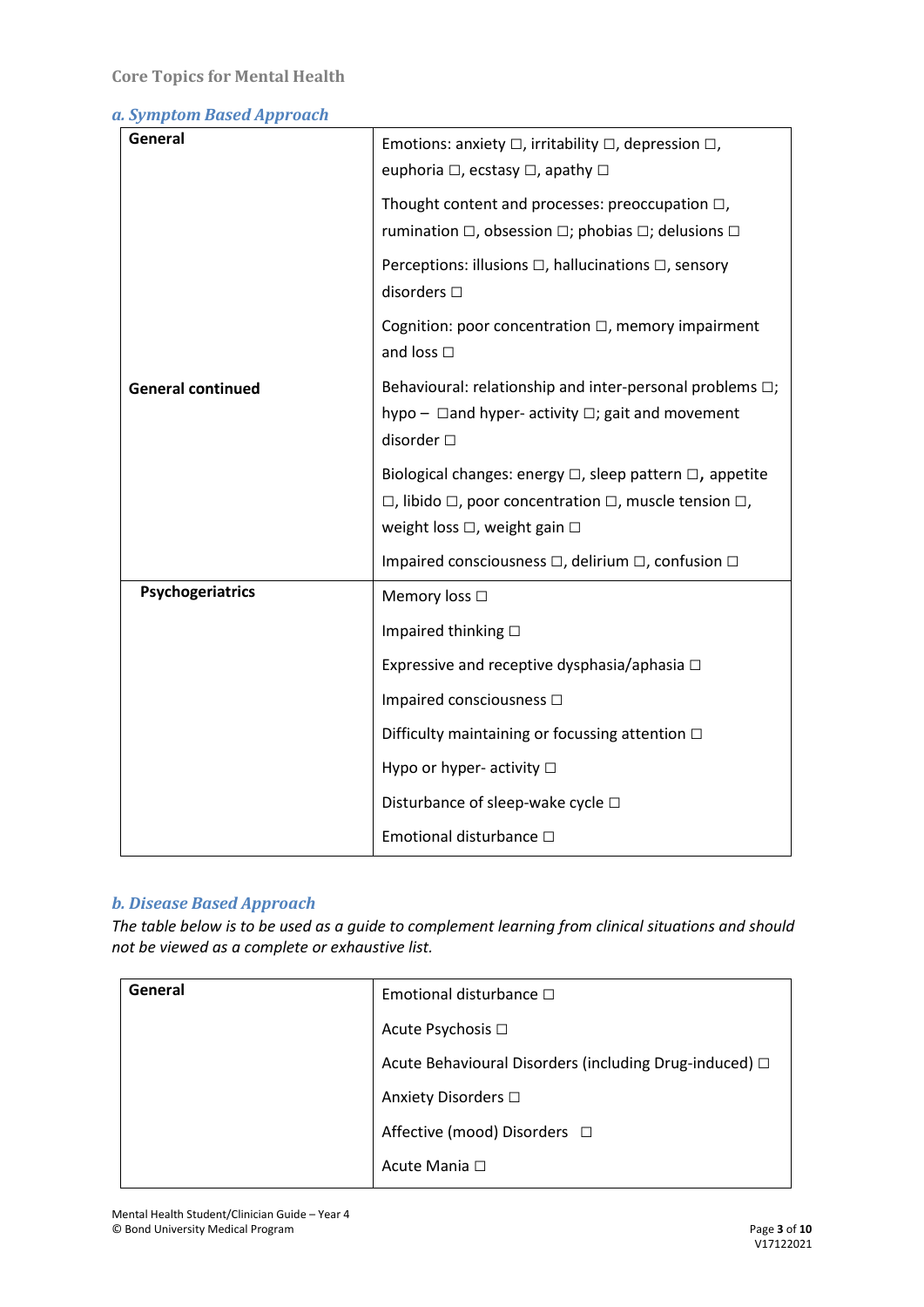#### *a. Symptom Based Approach*

| General                  | Emotions: anxiety $\square$ , irritability $\square$ , depression $\square$ ,       |
|--------------------------|-------------------------------------------------------------------------------------|
|                          | euphoria □, ecstasy □, apathy □                                                     |
|                          | Thought content and processes: preoccupation $\square$ ,                            |
|                          | rumination $\Box$ , obsession $\Box$ ; phobias $\Box$ ; delusions $\Box$            |
|                          | Perceptions: illusions $\Box$ , hallucinations $\Box$ , sensory<br>disorders $\Box$ |
|                          | Cognition: poor concentration $\Box$ , memory impairment<br>and loss $\square$      |
| <b>General continued</b> | Behavioural: relationship and inter-personal problems $\Box$ ;                      |
|                          | hypo - $\Box$ and hyper- activity $\Box$ ; gait and movement<br>disorder $\square$  |
|                          | Biological changes: energy $\Box$ , sleep pattern $\Box$ , appetite                 |
|                          | $\Box$ , libido $\Box$ , poor concentration $\Box$ , muscle tension $\Box$ ,        |
|                          | weight loss □, weight gain □                                                        |
|                          | Impaired consciousness □, delirium □, confusion □                                   |
| Psychogeriatrics         | Memory loss □                                                                       |
|                          | Impaired thinking □                                                                 |
|                          | Expressive and receptive dysphasia/aphasia $\Box$                                   |
|                          | Impaired consciousness $\Box$                                                       |
|                          | Difficulty maintaining or focussing attention $\Box$                                |
|                          | Hypo or hyper- activity □                                                           |
|                          | Disturbance of sleep-wake cycle □                                                   |
|                          | Emotional disturbance □                                                             |

#### *b. Disease Based Approach*

*The table below is to be used as a guide to complement learning from clinical situations and should not be viewed as a complete or exhaustive list.*

| General | Emotional disturbance $\Box$                           |
|---------|--------------------------------------------------------|
|         | Acute Psychosis □                                      |
|         | Acute Behavioural Disorders (including Drug-induced) □ |
|         | Anxiety Disorders □                                    |
|         | Affective (mood) Disorders □                           |
|         | Acute Mania □                                          |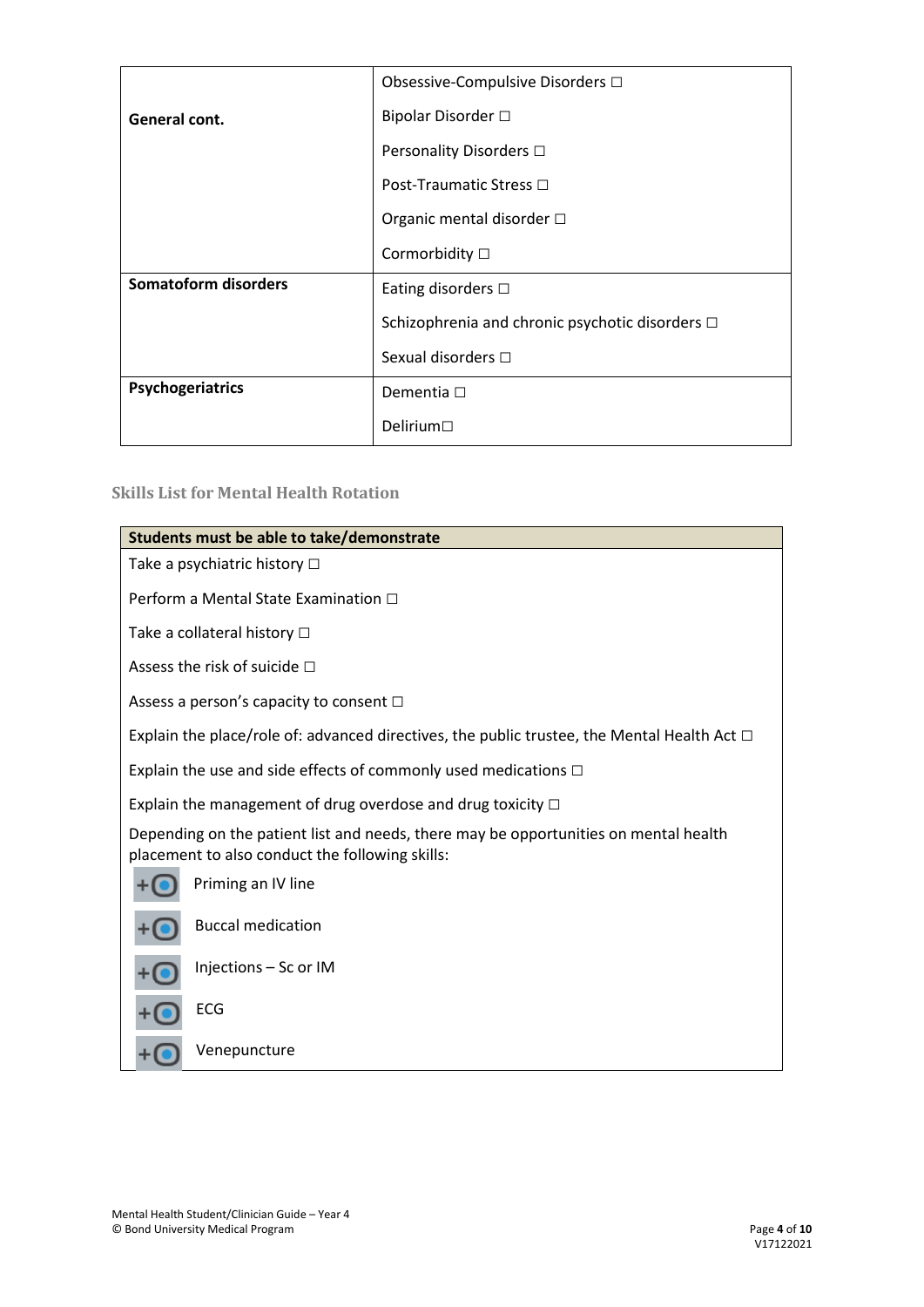|                             | Obsessive-Compulsive Disorders □                |
|-----------------------------|-------------------------------------------------|
| General cont.               | Bipolar Disorder □                              |
|                             | Personality Disorders □                         |
|                             | Post-Traumatic Stress □                         |
|                             | Organic mental disorder □                       |
|                             | Cormorbidity □                                  |
| <b>Somatoform disorders</b> | Eating disorders $\Box$                         |
|                             | Schizophrenia and chronic psychotic disorders □ |
|                             | Sexual disorders $\Box$                         |
| Psychogeriatrics            | Dementia □                                      |
|                             | Delirium $\Box$                                 |

#### **Skills List for Mental Health Rotation**

| Students must be able to take/demonstrate                                                                                               |  |  |  |
|-----------------------------------------------------------------------------------------------------------------------------------------|--|--|--|
| Take a psychiatric history $\Box$                                                                                                       |  |  |  |
| Perform a Mental State Examination □                                                                                                    |  |  |  |
| Take a collateral history □                                                                                                             |  |  |  |
| Assess the risk of suicide $\Box$                                                                                                       |  |  |  |
| Assess a person's capacity to consent $\Box$                                                                                            |  |  |  |
| Explain the place/role of: advanced directives, the public trustee, the Mental Health Act $\Box$                                        |  |  |  |
| Explain the use and side effects of commonly used medications $\Box$                                                                    |  |  |  |
| Explain the management of drug overdose and drug toxicity $\Box$                                                                        |  |  |  |
| Depending on the patient list and needs, there may be opportunities on mental health<br>placement to also conduct the following skills: |  |  |  |
| Priming an IV line                                                                                                                      |  |  |  |
| <b>Buccal medication</b>                                                                                                                |  |  |  |
| Injections - Sc or IM                                                                                                                   |  |  |  |
| ECG                                                                                                                                     |  |  |  |
| Venepuncture                                                                                                                            |  |  |  |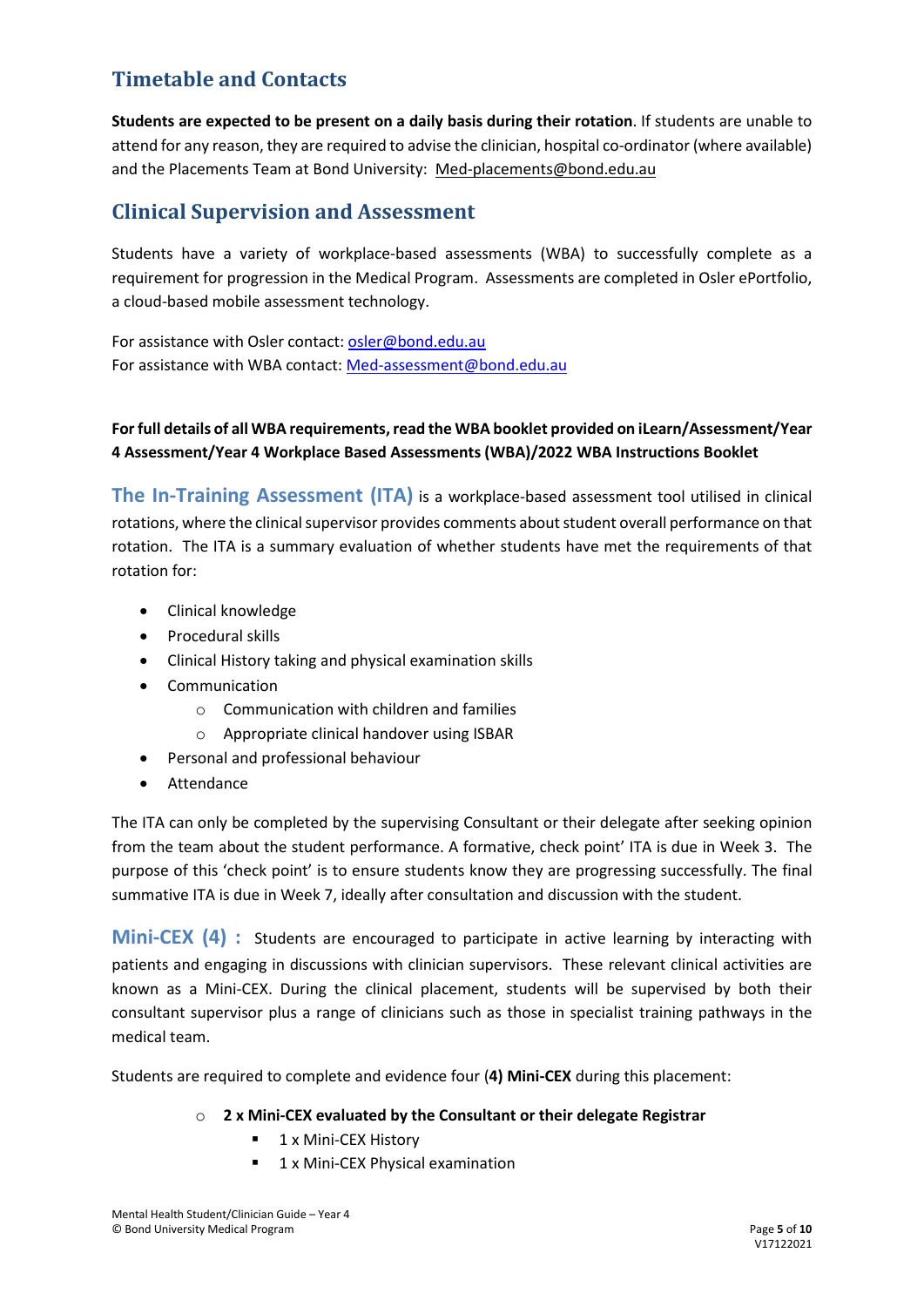#### **Timetable and Contacts**

**Students are expected to be present on a daily basis during their rotation**. If students are unable to attend for any reason, they are required to advise the clinician, hospital co-ordinator (where available) and the Placements Team at Bond University: [Med-placements@bond.edu.au](mailto:Med-placements@bond.edu.au)

#### **Clinical Supervision and Assessment**

Students have a variety of workplace-based assessments (WBA) to successfully complete as a requirement for progression in the Medical Program. Assessments are completed in Osler ePortfolio, a cloud-based mobile assessment technology.

For assistance with Osler contact: [osler@bond.edu.au](mailto:osler@bond.edu.au) For assistance with WBA contact: [Med-assessment@bond.edu.au](mailto:Med-assessment@bond.edu.au)

#### **For full details of all WBA requirements, read the WBA booklet provided on iLearn/Assessment/Year 4 Assessment/Year 4 Workplace Based Assessments (WBA)/2022 WBA Instructions Booklet**

**The In-Training Assessment (ITA)** is a workplace-based assessment tool utilised in clinical rotations, where the clinical supervisor provides comments about student overall performance on that rotation. The ITA is a summary evaluation of whether students have met the requirements of that rotation for:

- Clinical knowledge
- Procedural skills
- Clinical History taking and physical examination skills
- Communication
	- o Communication with children and families
	- o Appropriate clinical handover using ISBAR
- Personal and professional behaviour
- **Attendance**

The ITA can only be completed by the supervising Consultant or their delegate after seeking opinion from the team about the student performance. A formative, check point' ITA is due in Week 3. The purpose of this 'check point' is to ensure students know they are progressing successfully. The final summative ITA is due in Week 7, ideally after consultation and discussion with the student.

**Mini-CEX (4) :** Students are encouraged to participate in active learning by interacting with patients and engaging in discussions with clinician supervisors. These relevant clinical activities are known as a Mini-CEX. During the clinical placement, students will be supervised by both their consultant supervisor plus a range of clinicians such as those in specialist training pathways in the medical team.

Students are required to complete and evidence four (**4) Mini-CEX** during this placement:

#### o **2 x Mini-CEX evaluated by the Consultant or their delegate Registrar**

- 1 x Mini-CEX History
- **1** 1 x Mini-CEX Physical examination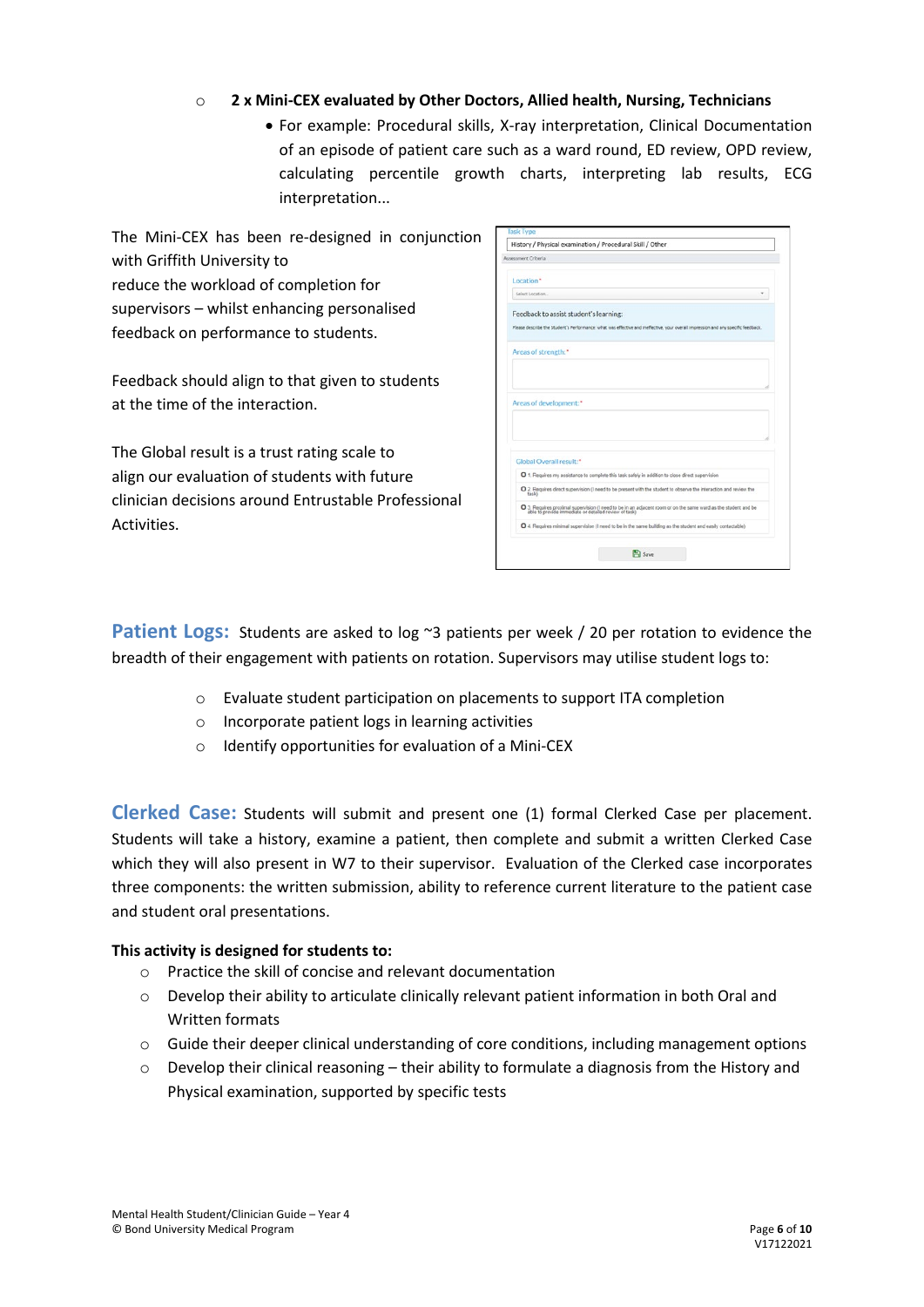#### o **2 x Mini-CEX evaluated by Other Doctors, Allied health, Nursing, Technicians**

• For example: Procedural skills, X-ray interpretation, Clinical Documentation of an episode of patient care such as a ward round, ED review, OPD review, calculating percentile growth charts, interpreting lab results, ECG interpretation...

The Mini-CEX has been re-designed in conjunction with Griffith University to reduce the workload of completion for supervisors – whilst enhancing personalised feedback on performance to students.

Feedback should align to that given to students at the time of the interaction.

The Global result is a trust rating scale to align our evaluation of students with future clinician decisions around Entrustable Professional **Activities.** 

| Assessment Criteria                                                                              |                                                                                                                                                                         |
|--------------------------------------------------------------------------------------------------|-------------------------------------------------------------------------------------------------------------------------------------------------------------------------|
| Location*                                                                                        |                                                                                                                                                                         |
| Select Location.                                                                                 |                                                                                                                                                                         |
| Feedback to assist student's learning:                                                           |                                                                                                                                                                         |
|                                                                                                  | Please describe the Student's Performance: what was effective and ineffective, your overall impression and any specific feedback.                                       |
| Areas of strength:"                                                                              |                                                                                                                                                                         |
|                                                                                                  |                                                                                                                                                                         |
|                                                                                                  |                                                                                                                                                                         |
|                                                                                                  |                                                                                                                                                                         |
| Areas of development:*                                                                           |                                                                                                                                                                         |
|                                                                                                  |                                                                                                                                                                         |
|                                                                                                  |                                                                                                                                                                         |
| Global Overall result:*                                                                          |                                                                                                                                                                         |
| O 1. Requires my assistance to complete this task safely in addition to close direct supervision |                                                                                                                                                                         |
| task)                                                                                            | Q 2. Requires direct supervision (I need to be present with the student to observe the interaction and review the                                                       |
|                                                                                                  | O 3. Requires proximal supervision (I need to be in an adjacent room or on the same ward as the student and be<br>able to provide immediate or detailed review of task) |

**Patient Logs:** Students are asked to log ~3 patients per week / 20 per rotation to evidence the breadth of their engagement with patients on rotation. Supervisors may utilise student logs to:

- o Evaluate student participation on placements to support ITA completion
- o Incorporate patient logs in learning activities
- o Identify opportunities for evaluation of a Mini-CEX

**Clerked Case:** Students will submit and present one (1) formal Clerked Case per placement. Students will take a history, examine a patient, then complete and submit a written Clerked Case which they will also present in W7 to their supervisor. Evaluation of the Clerked case incorporates three components: the written submission, ability to reference current literature to the patient case and student oral presentations.

#### **This activity is designed for students to:**

- o Practice the skill of concise and relevant documentation
- $\circ$  Develop their ability to articulate clinically relevant patient information in both Oral and Written formats
- o Guide their deeper clinical understanding of core conditions, including management options
- $\circ$  Develop their clinical reasoning their ability to formulate a diagnosis from the History and Physical examination, supported by specific tests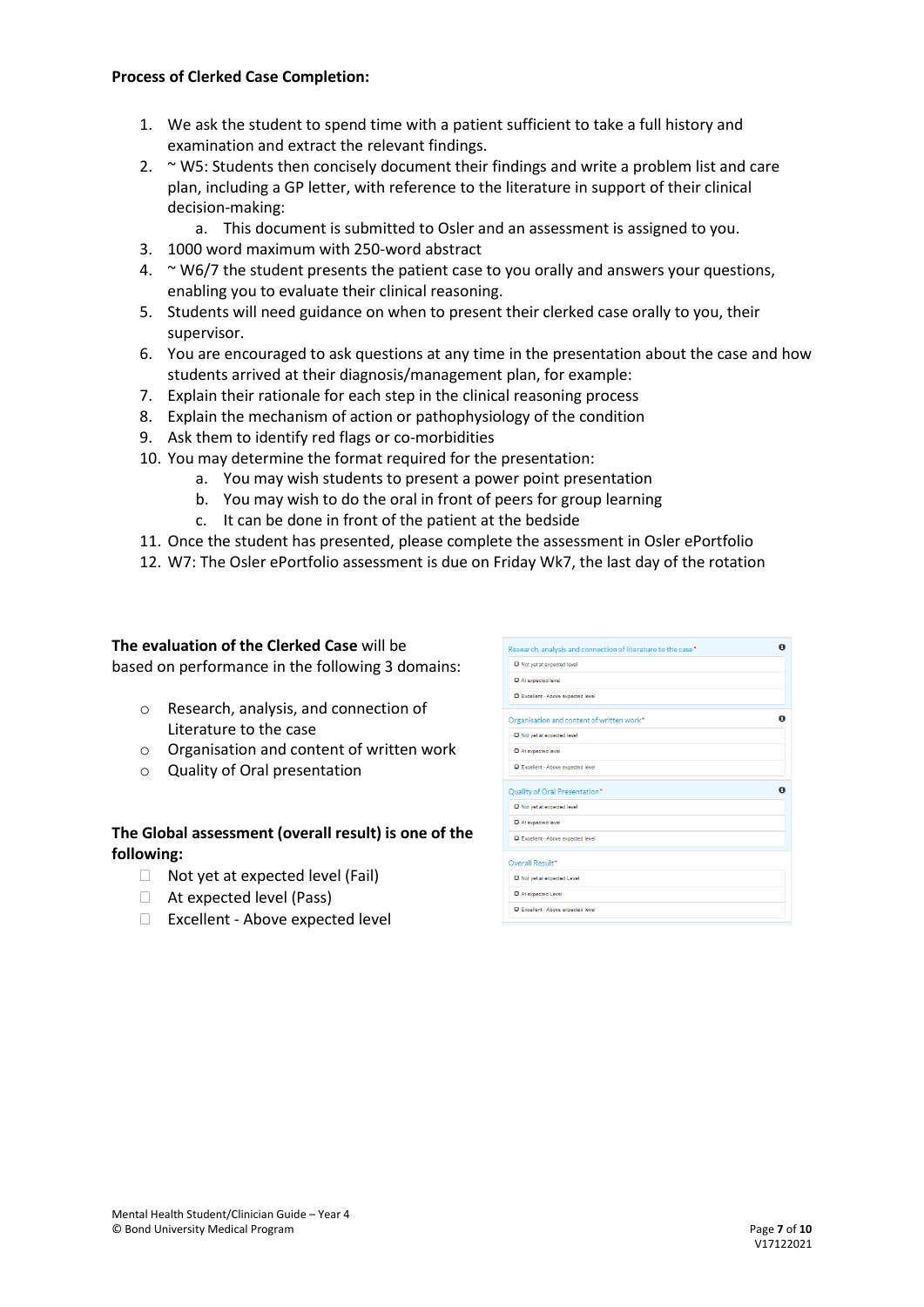#### **Process of Clerked Case Completion:**

- 1. We ask the student to spend time with a patient sufficient to take a full history and examination and extract the relevant findings.
- 2. ~ W5: Students then concisely document their findings and write a problem list and care plan, including a GP letter, with reference to the literature in support of their clinical decision-making:
	- a. This document is submitted to Osler and an assessment is assigned to you.
- 3. 1000 word maximum with 250-word abstract
- 4.  $\sim$  W6/7 the student presents the patient case to you orally and answers your questions, enabling you to evaluate their clinical reasoning.
- 5. Students will need guidance on when to present their clerked case orally to you, their supervisor.
- 6. You are encouraged to ask questions at any time in the presentation about the case and how students arrived at their diagnosis/management plan, for example:
- 7. Explain their rationale for each step in the clinical reasoning process
- 8. Explain the mechanism of action or pathophysiology of the condition
- 9. Ask them to identify red flags or co-morbidities
- 10. You may determine the format required for the presentation:
	- a. You may wish students to present a power point presentation
	- b. You may wish to do the oral in front of peers for group learning
	- c. It can be done in front of the patient at the bedside
- 11. Once the student has presented, please complete the assessment in Osler ePortfolio
- 12. W7: The Osler ePortfolio assessment is due on Friday Wk7, the last day of the rotation

### **The evaluation of the Clerked Case** will be

based on performance in the following 3 domains:

- o Research, analysis, and connection of Literature to the case
- o Organisation and content of written work
- o Quality of Oral presentation

#### **The Global assessment (overall result) is one of the following:**

- $\Box$  Not yet at expected level (Fail)
- At expected level (Pass)
- Excellent Above expected level

| Research, analysis and connection of literature to the case* |  |
|--------------------------------------------------------------|--|
| O Not yet at expected level                                  |  |
| At expected level                                            |  |
| Excellent - Above expected level                             |  |
| Organisation and content of written work*                    |  |
| O Not yet at expected level                                  |  |
| O At expected level                                          |  |
| <b>O</b> Excellent - Above expected level                    |  |
| Quality of Oral Presentation*                                |  |
| Not yet at expected level                                    |  |
| O At expected level                                          |  |
| D Excellent - Above expected level                           |  |
| Overall Result*                                              |  |
|                                                              |  |
| O Not yet at expected Level                                  |  |
| O At expected Level                                          |  |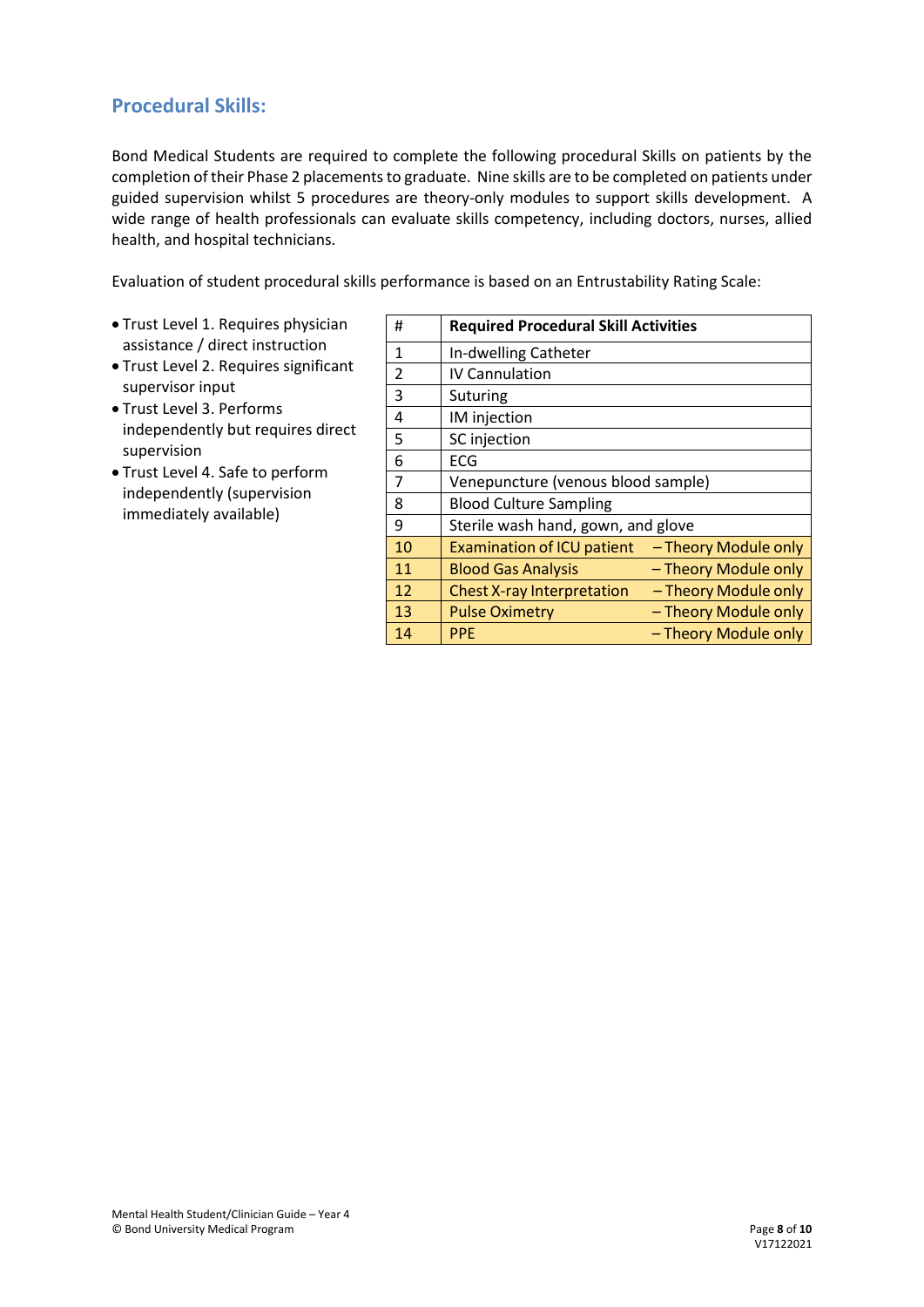#### **Procedural Skills:**

Bond Medical Students are required to complete the following procedural Skills on patients by the completion of their Phase 2 placements to graduate. Nine skills are to be completed on patients under guided supervision whilst 5 procedures are theory-only modules to support skills development. A wide range of health professionals can evaluate skills competency, including doctors, nurses, allied health, and hospital technicians.

Evaluation of student procedural skills performance is based on an Entrustability Rating Scale:

- Trust Level 1. Requires physician assistance / direct instruction
- Trust Level 2. Requires significant supervisor input
- Trust Level 3. Performs independently but requires direct supervision
- Trust Level 4. Safe to perform independently (supervision immediately available)

| #              | <b>Required Procedural Skill Activities</b> |                      |
|----------------|---------------------------------------------|----------------------|
| 1              | In-dwelling Catheter                        |                      |
| $\mathfrak{p}$ | <b>IV Cannulation</b>                       |                      |
| 3              | Suturing                                    |                      |
| 4              | IM injection                                |                      |
| 5              | SC injection                                |                      |
| 6              | ECG                                         |                      |
| 7              | Venepuncture (venous blood sample)          |                      |
| 8              | <b>Blood Culture Sampling</b>               |                      |
| 9              | Sterile wash hand, gown, and glove          |                      |
| 10             | <b>Examination of ICU patient</b>           | - Theory Module only |
| 11             | <b>Blood Gas Analysis</b>                   | - Theory Module only |
| 12             | <b>Chest X-ray Interpretation</b>           | - Theory Module only |
| 13             | <b>Pulse Oximetry</b>                       | - Theory Module only |
| 14             | <b>PPE</b>                                  | - Theory Module only |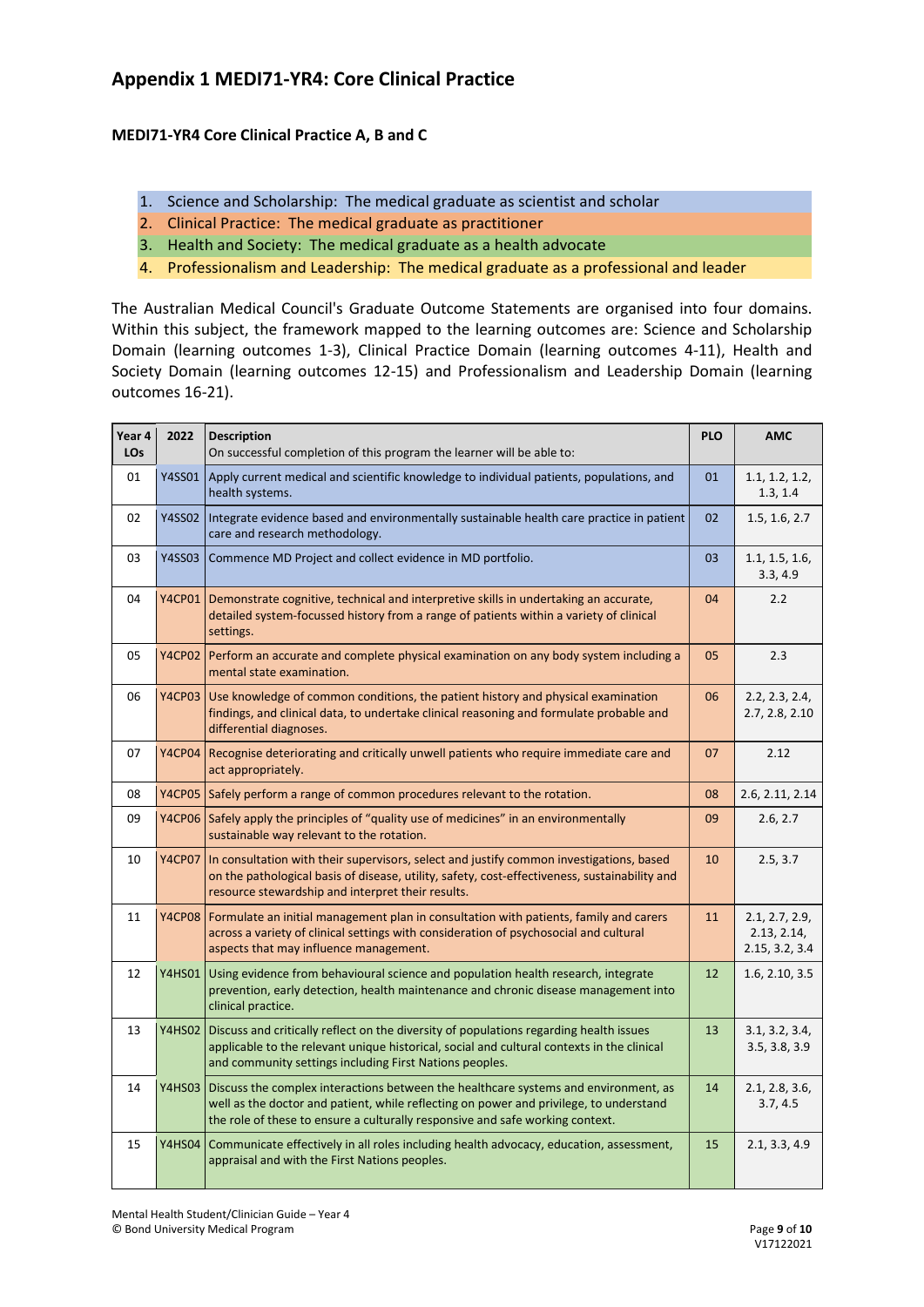#### **Appendix 1 MEDI71-YR4: Core Clinical Practice**

#### **MEDI71-YR4 Core Clinical Practice A, B and C**

- 1. Science and Scholarship: The medical graduate as scientist and scholar
- 2. Clinical Practice: The medical graduate as practitioner
- 3. Health and Society: The medical graduate as a health advocate
- 4. Professionalism and Leadership: The medical graduate as a professional and leader

The Australian Medical Council's Graduate Outcome Statements are organised into four domains. Within this subject, the framework mapped to the learning outcomes are: Science and Scholarship Domain (learning outcomes 1-3), Clinical Practice Domain (learning outcomes 4-11), Health and Society Domain (learning outcomes 12-15) and Professionalism and Leadership Domain (learning outcomes 16-21).

| Year 4<br>LO <sub>s</sub> | 2022          | <b>Description</b><br>On successful completion of this program the learner will be able to:                                                                                                                                                                           | <b>PLO</b> | <b>AMC</b>                                      |
|---------------------------|---------------|-----------------------------------------------------------------------------------------------------------------------------------------------------------------------------------------------------------------------------------------------------------------------|------------|-------------------------------------------------|
| 01                        | Y4SS01        | Apply current medical and scientific knowledge to individual patients, populations, and<br>health systems.                                                                                                                                                            | 01         | 1.1, 1.2, 1.2,<br>1.3, 1.4                      |
| 02                        | <b>Y4SS02</b> | Integrate evidence based and environmentally sustainable health care practice in patient<br>care and research methodology.                                                                                                                                            | 02         | 1.5, 1.6, 2.7                                   |
| 03                        | <b>Y4SS03</b> | Commence MD Project and collect evidence in MD portfolio.                                                                                                                                                                                                             | 03         | 1.1, 1.5, 1.6,<br>3.3, 4.9                      |
| 04                        |               | Y4CP01   Demonstrate cognitive, technical and interpretive skills in undertaking an accurate,<br>detailed system-focussed history from a range of patients within a variety of clinical<br>settings.                                                                  | 04         | 2.2                                             |
| 05                        |               | Y4CP02 Perform an accurate and complete physical examination on any body system including a<br>mental state examination.                                                                                                                                              | 05         | 2.3                                             |
| 06                        |               | Y4CP03 Use knowledge of common conditions, the patient history and physical examination<br>findings, and clinical data, to undertake clinical reasoning and formulate probable and<br>differential diagnoses.                                                         | 06         | 2.2, 2.3, 2.4,<br>2.7, 2.8, 2.10                |
| 07                        |               | Y4CP04 Recognise deteriorating and critically unwell patients who require immediate care and<br>act appropriately.                                                                                                                                                    | 07         | 2.12                                            |
| 08                        |               | Y4CP05 Safely perform a range of common procedures relevant to the rotation.                                                                                                                                                                                          | 08         | 2.6, 2.11, 2.14                                 |
| 09                        |               | Y4CP06 Safely apply the principles of "quality use of medicines" in an environmentally<br>sustainable way relevant to the rotation.                                                                                                                                   | 09         | 2.6, 2.7                                        |
| 10                        |               | Y4CP07 In consultation with their supervisors, select and justify common investigations, based<br>on the pathological basis of disease, utility, safety, cost-effectiveness, sustainability and<br>resource stewardship and interpret their results.                  | 10         | 2.5, 3.7                                        |
| 11                        |               | Y4CP08 Formulate an initial management plan in consultation with patients, family and carers<br>across a variety of clinical settings with consideration of psychosocial and cultural<br>aspects that may influence management.                                       | 11         | 2.1, 2.7, 2.9,<br>2.13, 2.14,<br>2.15, 3.2, 3.4 |
| 12                        |               | Y4HS01 Using evidence from behavioural science and population health research, integrate<br>prevention, early detection, health maintenance and chronic disease management into<br>clinical practice.                                                                 | 12         | 1.6, 2.10, 3.5                                  |
| 13                        |               | Y4HS02 Discuss and critically reflect on the diversity of populations regarding health issues<br>applicable to the relevant unique historical, social and cultural contexts in the clinical<br>and community settings including First Nations peoples.                | 13         | 3.1, 3.2, 3.4,<br>3.5, 3.8, 3.9                 |
| 14                        |               | Y4HS03 Discuss the complex interactions between the healthcare systems and environment, as<br>well as the doctor and patient, while reflecting on power and privilege, to understand<br>the role of these to ensure a culturally responsive and safe working context. | 14         | 2.1, 2.8, 3.6,<br>3.7, 4.5                      |
| 15                        |               | Y4HS04   Communicate effectively in all roles including health advocacy, education, assessment,<br>appraisal and with the First Nations peoples.                                                                                                                      | 15         | 2.1, 3.3, 4.9                                   |